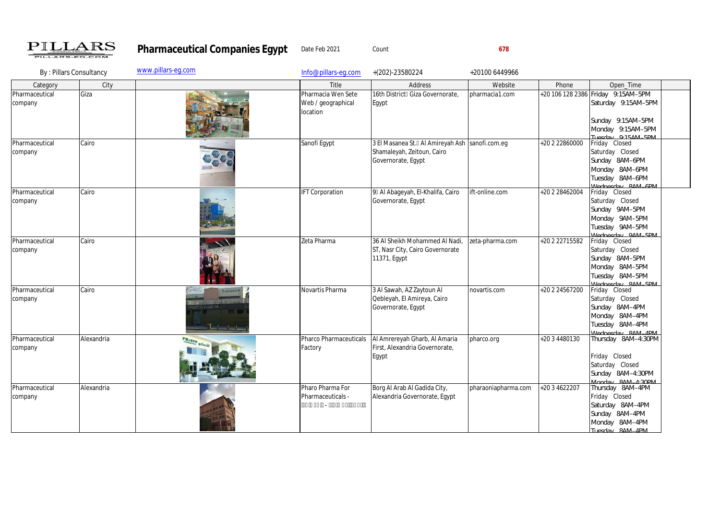

Pharmaceutical Companies Egypt Date Feb 2021 Count Count 678

| By: Pillars Consultancy   |            | www.pillars-eq.com                                                   | Info@pillars-eq.com                                  | $+(202)-23580224$                                                                                    | +20100 6449966      |                |                                                                                                                          |  |
|---------------------------|------------|----------------------------------------------------------------------|------------------------------------------------------|------------------------------------------------------------------------------------------------------|---------------------|----------------|--------------------------------------------------------------------------------------------------------------------------|--|
| Category                  | City       |                                                                      | Title                                                | Address                                                                                              | Website             | Phone          | Open_Time                                                                                                                |  |
| Pharmaceutical<br>company | Giza       |                                                                      | Pharmacia Wen Sete<br>Web / geographical<br>location | 16th District Giza Governorate,<br>Egypt                                                             | pharmacia1.com      |                | +20 106 128 2386 Friday 9.15AM-5PM<br>Saturday 9:15AM-5PM<br>Sunday 9.15AM-5PM<br>Monday 9:15AM-5PM<br>Tuesday Q15AM_5PM |  |
| Pharmaceutical<br>company | Cairo      |                                                                      | Sanofi Egypt                                         | 3 El Masanea St. Al Amireyah Ash   sanofi.com.eg<br>Shamaleyah, Zeitoun, Cairo<br>Governorate, Egypt |                     | +20 2 22860000 | Friday Closed<br>Saturday Closed<br>Sunday 8AM-6PM<br>Monday 8AM-6PM<br>Tuesday 8AM-6PM<br>Mednesday 8AM_6PM             |  |
| Pharmaceutical<br>company | Cairo      |                                                                      | <b>IFT Corporation</b>                               | 9 Al Abageyah, El-Khalifa, Cairo<br>Governorate, Egypt                                               | ift-online.com      | +20 2 28462004 | Friday Closed<br>Saturday Closed<br>Sunday 9AM-5PM<br>Monday 9AM-5PM<br>Tuesday 9AM-5PM<br>Mednesday QAM_5PM             |  |
| Pharmaceutical<br>company | Cairo      |                                                                      | Zeta Pharma                                          | 36 Al Sheikh Mohammed Al Nadi,<br>ST, Nasr City, Cairo Governorate<br>11371, Egypt                   | zeta-pharma.com     | +20 2 22715582 | Friday Closed<br>Saturday Closed<br>Sunday 8AM-5PM<br>Monday 8AM-5PM<br>Tuesday 8AM-5PM<br>Nadnasday 8AM 5DM             |  |
| Pharmaceutical<br>company | Cairo      | <b>INNEVARTIS</b><br><b><i><u>ANTI Line</u></i></b><br>ARTIS FILARMA | Novartis Pharma                                      | 3 Al Sawah, AZ Zaytoun Al<br>Qebleyah, El Amireya, Cairo<br>Governorate, Egypt                       | novartis.com        | +20 2 24567200 | Friday Closed<br>Saturday Closed<br>Sunday 8AM-4PM<br>Monday 8AM-4PM<br>Tuesday 8AM-4PM<br>Madnasday 8AM ADM             |  |
| Pharmaceutical<br>company | Alexandria | PHARES SSAIL                                                         | Pharco Pharmaceuticals<br>Factory                    | Al Amrereyah Gharb, Al Amaria<br>First, Alexandria Governorate,<br>Egypt                             | pharco.org          | +20 3 4480130  | Thursday 8AM-4:30PM<br>Friday Closed<br>Saturday Closed<br>Sunday 8AM-4:30PM<br>Monday 84M_4.30PM                        |  |
| Pharmaceutical<br>company | Alexandria |                                                                      | Pharo Pharma For<br>Pharmaceuticals -                | Borg Al Arab Al Gadida City,<br>Alexandria Governorate, Egypt                                        | pharaoniapharma.com | +20 3 4622207  | Thursday 8AM-4PM<br>Friday Closed<br>Saturday 8AM-4PM<br>Sunday 8AM-4PM<br>Monday 8AM-4PM<br>Tuesday 8AM_4PM             |  |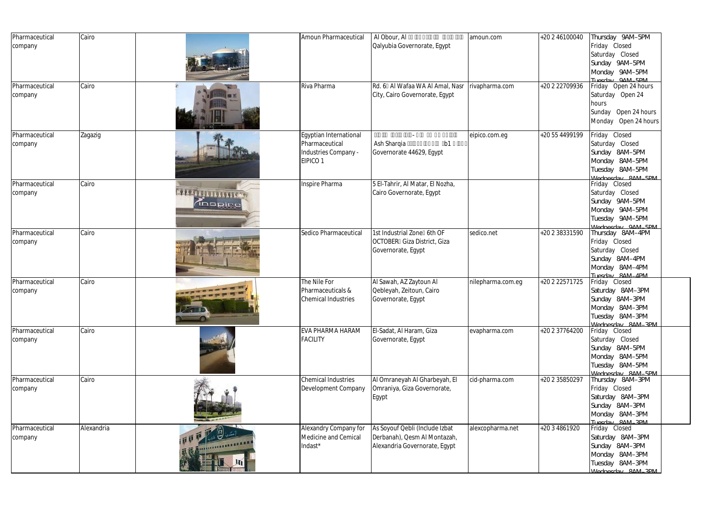| Pharmaceutical<br>company | Cairo      |                                         | Amoun Pharmaceutical                                                         | Al Obour, Al<br>Qalyubia Governorate, Egypt                                                     | amoun.com         | +20 2 46100040 | Thursday 9AM-5PM<br>Friday Closed<br>Saturday Closed<br>Sunday 9AM-5PM<br>Monday 9AM-5PM<br>Tuesday QAM_5PM   |
|---------------------------|------------|-----------------------------------------|------------------------------------------------------------------------------|-------------------------------------------------------------------------------------------------|-------------------|----------------|---------------------------------------------------------------------------------------------------------------|
| Pharmaceutical<br>company | Cairo      |                                         | Riva Pharma                                                                  | Rd. 6 Al Wafaa WA Al Amal, Nasr<br>City, Cairo Governorate, Egypt                               | rivapharma.com    | +20 2 22709936 | Friday Open 24 hours<br>Saturday Open 24<br>hours<br>Sunday Open 24 hours<br>Monday Open 24 hours             |
| Pharmaceutical<br>company | Zagazig    |                                         | Egyptian International<br>Pharmaceutical<br>Industries Company -<br>EIPICO 1 | Ash Sharqia<br>b <sub>1</sub><br>Governorate 44629, Egypt                                       | eipico.com.eg     | +20 55 4499199 | Friday Closed<br>Saturday Closed<br>Sunday 8AM-5PM<br>Monday 8AM-5PM<br>Tuesday 8AM-5PM<br>Madnasday 8AM 5DM  |
| Pharmaceutical<br>company | Cairo      | <b>BAAA ALIITTITTITTI AR</b><br>dnspine | Inspire Pharma                                                               | 5 El-Tahrir, Al Matar, El Nozha,<br>Cairo Governorate, Egypt                                    |                   |                | Friday Closed<br>Saturday Closed<br>Sunday 9AM-5PM<br>Monday 9AM-5PM<br>Tuesday 9AM-5PM<br>Mednesday QAM_5PM  |
| Pharmaceutical<br>company | Cairo      |                                         | Sedico Pharmaceutical                                                        | 1st Industrial Zone 6th OF<br><b>OCTOBER</b> Giza District, Giza<br>Governorate, Egypt          | sedico.net        | +20 2 38331590 | Thursday 8AM-4PM<br>Friday Closed<br>Saturday Closed<br>Sunday 8AM-4PM<br>Monday 8AM-4PM<br>Tuesday 8AM_4PM   |
| Pharmaceutical<br>company | Cairo      | $\sqrt{3}$                              | The Nile For<br>Pharmaceuticals &<br><b>Chemical Industries</b>              | Al Sawah, AZ Zaytoun Al<br>Qebleyah, Zeitoun, Cairo<br>Governorate, Egypt                       | nilepharma.com.eg | +20 2 22571725 | Friday Closed<br>Saturday 8AM-3PM<br>Sunday 8AM-3PM<br>Monday 8AM-3PM<br>Tuesday 8AM-3PM<br>Mednesday 8AM_3PM |
| Pharmaceutical<br>company | Cairo      |                                         | EVA PHARMA HARAM<br><b>FACILITY</b>                                          | El-Sadat, Al Haram, Giza<br>Governorate, Egypt                                                  | evapharma.com     | +20 2 37764200 | Friday Closed<br>Saturday Closed<br>Sunday 8AM-5PM<br>Monday 8AM-5PM<br>Tuesday 8AM-5PM<br>Wednesday 8AM_5DM  |
| Pharmaceutical<br>company | Cairo      |                                         | Chemical Industries<br>Development Company                                   | Al Omraneyah Al Gharbeyah, El<br>Omraniya, Giza Governorate,<br>Egypt                           | cid-pharma.com    | +20 2 35850297 | Thursday 8AM-3PM<br>Friday Closed<br>Saturday 8AM-3PM<br>Sunday 8AM-3PM<br>Monday 8AM-3PM<br>Tuesday 8AM 3DM  |
| Pharmaceutical<br>company | Alexandria | ,,,,,,,,,,,,,,,,                        | Alexandry Company for<br>Medicine and Cemical<br>Indast*                     | As Soyouf Qebli (Include Izbat<br>Derbanah), Qesm Al Montazah,<br>Alexandria Governorate, Egypt | alexcopharma.net  | +20 3 4861920  | Friday Closed<br>Saturday 8AM-3PM<br>Sunday 8AM-3PM<br>Monday 8AM-3PM<br>Tuesday 8AM-3PM<br>Madnasday 8AM 3DM |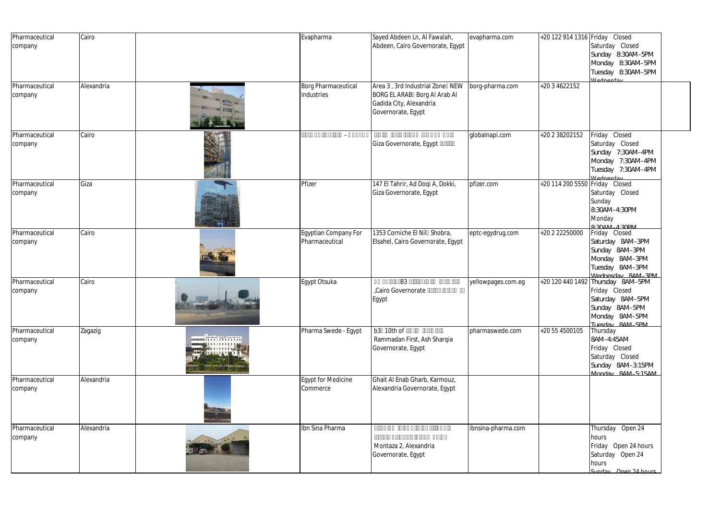| Pharmaceutical<br>company | Cairo      |                                                            | Evapharma                                | Sayed Abdeen Ln, Al Fawalah,<br>Abdeen, Cairo Governorate, Egypt                                                 | evapharma.com      | +20 122 914 1316 Friday Closed | Saturday Closed                                                                                                               |  |
|---------------------------|------------|------------------------------------------------------------|------------------------------------------|------------------------------------------------------------------------------------------------------------------|--------------------|--------------------------------|-------------------------------------------------------------------------------------------------------------------------------|--|
|                           |            |                                                            |                                          |                                                                                                                  |                    |                                | Sunday 8:30AM-5PM<br>Monday 8:30AM-5PM<br>Tuesday 8:30AM-5PM<br><i><u>Mednesday</u></i>                                       |  |
| Pharmaceutical<br>company | Alexandria |                                                            | <b>Borg Pharmaceutical</b><br>Industries | Area 3, 3rd Industrial Zone NEW<br>BORG EL ARAB Borg AI Arab AI<br>Gadida City, Alexandria<br>Governorate, Egypt | borg-pharma.com    | +20 3 4622152                  |                                                                                                                               |  |
| Pharmaceutical<br>company | Cairo      |                                                            | $\overline{\phantom{a}}$                 | Giza Governorate, Egypt                                                                                          | globalnapi.com     | +20 2 38202152                 | Friday Closed<br>Saturday Closed<br>Sunday 7:30AM-4PM<br>Monday 7:30AM-4PM<br>Tuesday 7:30AM-4PM<br>Wednesday                 |  |
| Pharmaceutical<br>company | Giza       |                                                            | Pfizer                                   | 147 El Tahrir, Ad Doqi A, Dokki,<br>Giza Governorate, Egypt                                                      | pfizer.com         | +20 114 200 5550               | Friday Closed<br>Saturday Closed<br>Sunday<br>8:30AM-4:30PM<br>Monday<br>Q: 2000017.30001                                     |  |
| Pharmaceutical<br>company | Cairo      |                                                            | Egyptian Company For<br>Pharmaceutical   | 1353 Corniche El Nil Shobra,<br>Elsahel, Cairo Governorate, Egypt                                                | eptc-egydrug.com   | +20 2 22250000                 | Friday Closed<br>Saturday 8AM-3PM<br>Sunday 8AM-3PM<br>Monday 8AM-3PM<br>Tuesday 8AM-3PM<br>Mednesday 84M_3PM                 |  |
| Pharmaceutical<br>company | Cairo      | <b>SEP AT-</b>                                             | Egypt Otsuka                             | <b>B3</b><br>Cairo Governorate<br>Egypt                                                                          | yellowpages.com.eg |                                | +20 120 440 1492 Thursday 8AM-5PM<br>Friday Closed<br>Saturday 8AM-5PM<br>Sunday 8AM-5PM<br>Monday 8AM-5PM<br>Tuesday 8AM_5PM |  |
| Pharmaceutical<br>company | Zagazig    | $m$ ninininin<br>,,,,,,,,,,,<br><b>ATTENTION ENGINEERS</b> | Pharma Swede - Egypt                     | b3 10th of<br>Rammadan First, Ash Sharqia<br>Governorate, Egypt                                                  | pharmaswede.com    | +20 55 4500105                 | Thursday<br>8AM-4:45AM<br>Friday Closed<br>Saturday Closed<br>Sunday 8AM-3:15PM<br>Monday 8AM 515AM                           |  |
| Pharmaceutical<br>company | Alexandria |                                                            | Egypt for Medicine<br>Commerce           | Ghait Al Enab Gharb, Karmouz,<br>Alexandria Governorate, Egypt                                                   |                    |                                |                                                                                                                               |  |
| Pharmaceutical<br>company | Alexandria |                                                            | Ibn Sina Pharma                          | Montaza 2, Alexandria<br>Governorate, Egypt                                                                      | ibnsina-pharma.com |                                | Thursday Open 24<br>hours<br>Friday Open 24 hours<br>Saturday Open 24<br>hours<br>Sunday Open 24 hours                        |  |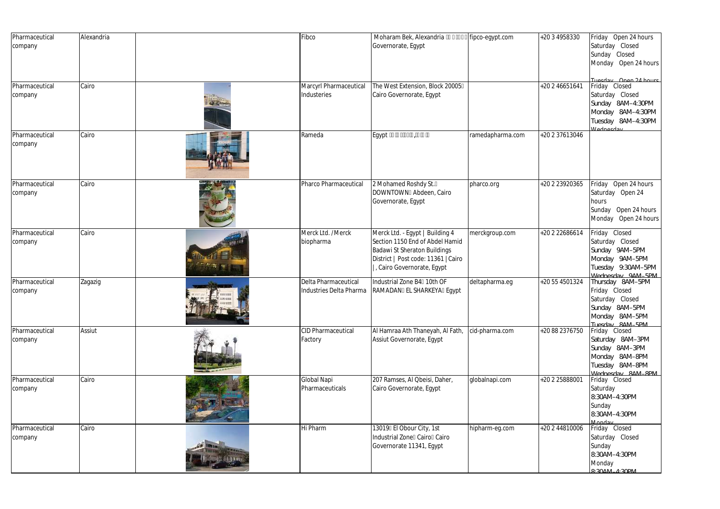| Pharmaceutical<br>company | Alexandria | Fibco                                           | Moharam Bek, Alexandria<br>Governorate, Egypt                                                                                                                           | fipco-egypt.com  | +20 3 4958330  | Friday Open 24 hours<br>Saturday Closed<br>Sunday Closed<br>Monday Open 24 hours                                                       |
|---------------------------|------------|-------------------------------------------------|-------------------------------------------------------------------------------------------------------------------------------------------------------------------------|------------------|----------------|----------------------------------------------------------------------------------------------------------------------------------------|
| Pharmaceutical<br>company | Cairo      | Marcyrl Pharmaceutical<br>Industeries           | The West Extension, Block 20005<br>Cairo Governorate, Egypt                                                                                                             |                  | +20 2 46651641 | Tuesday Open 24 hours<br>Friday Closed<br>Saturday Closed<br>Sunday 8AM-4:30PM<br>Monday 8AM-4:30PM<br>Tuesday 8AM-4:30PM<br>Wadnasday |
| Pharmaceutical<br>company | Cairo      | Rameda                                          | Egypt                                                                                                                                                                   | ramedapharma.com | +20 2 37613046 |                                                                                                                                        |
| Pharmaceutical<br>company | Cairo      | Pharco Pharmaceutical                           | 2 Mohamed Roshdy St.<br>DOWNTOWN Abdeen, Cairo<br>Governorate, Egypt                                                                                                    | pharco.org       | +20 2 23920365 | Friday Open 24 hours<br>Saturday Open 24<br>hours<br>Sunday Open 24 hours<br>Open 24 hours<br>Monday                                   |
| Pharmaceutical<br>company | Cairo      | Merck Ltd. /Merck<br>biopharma                  | Merck Ltd. - Egypt   Building 4<br>Section 1150 End of Abdel Hamid<br>Badawi St Sheraton Buildings<br>District   Post code: 11361   Cairo<br>, Cairo Governorate, Eqypt | merckgroup.com   | +20 2 22686614 | Friday Closed<br>Saturday Closed<br>Sunday 9AM-5PM<br>Monday 9AM-5PM<br>Tuesday 9:30AM-5PM<br>Mednesday QAM_5PM                        |
| Pharmaceutical<br>company | Zagazig    | Delta Pharmaceutical<br>Industries Delta Pharma | Industrial Zone B4 10th OF<br>RAMADAN EL SHARKEYA Egypt                                                                                                                 | deltapharma.eq   | +20 55 4501324 | Thursday 8AM-5PM<br>Friday Closed<br>Saturday Closed<br>Sunday 8AM-5PM<br>Monday 8AM-5PM<br>Tuesday 8AM_5PM                            |
| Pharmaceutical<br>company | Assiut     | <b>CID Pharmaceutical</b><br>Factory            | Al Hamraa Ath Thaneyah, Al Fath,<br>Assiut Governorate, Egypt                                                                                                           | cid-pharma.com   | +20 88 2376750 | Friday Closed<br>Saturday 8AM-3PM<br>Sunday 8AM-3PM<br>Monday 8AM-8PM<br>Tuesday 8AM-8PM<br>Mednesday 8AM_8PM                          |
| Pharmaceutical<br>company | Cairo      | Global Napi<br>Pharmaceuticals                  | 207 Ramses, Al Qbeisi, Daher,<br>Cairo Governorate, Egypt                                                                                                               | globalnapi.com   | +20 2 25888001 | Friday Closed<br>Saturday<br>8:30AM-4:30PM<br>Sunday<br>8:30AM-4:30PM<br>Monday                                                        |
| Pharmaceutical<br>company | Cairo      | Hi Pharm                                        | 13019 El Obour City, 1st<br>Industrial Zone Cairo Cairo<br>Governorate 11341, Egypt                                                                                     | hipharm-eg.com   | +20 2 44810006 | Friday Closed<br>Saturday Closed<br>Sunday<br>8:30AM-4:30PM<br>Monday<br>$Q_1$ 2011 1 1 2001 1                                         |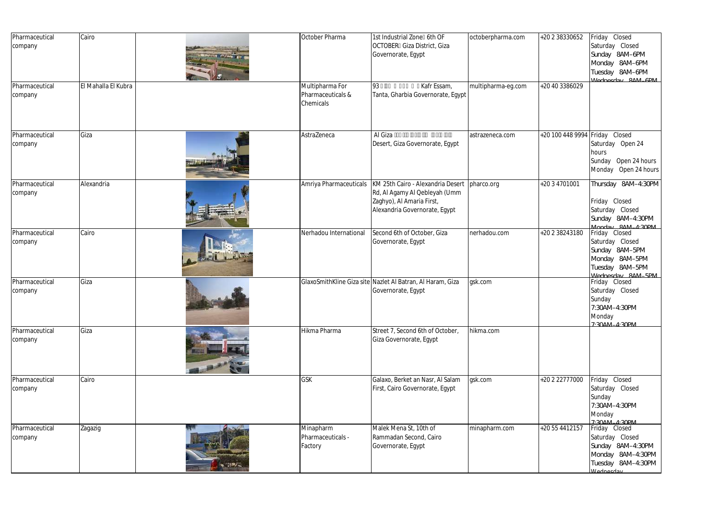| Pharmaceutical<br>company | Cairo               | October Pharma                                    | 1st Industrial Zone 6th OF<br>OCTOBER Giza District, Giza<br>Governorate, Egypt                                                  | octoberpharma.com  | +20 2 38330652   | Friday Closed<br>Saturday Closed<br>Sunday 8AM-6PM<br>Monday 8AM-6PM<br>Tuesday 8AM-6PM<br>Mednesday 8AM_6PM                |
|---------------------------|---------------------|---------------------------------------------------|----------------------------------------------------------------------------------------------------------------------------------|--------------------|------------------|-----------------------------------------------------------------------------------------------------------------------------|
| Pharmaceutical<br>company | El Mahalla El Kubra | Multipharma For<br>Pharmaceuticals &<br>Chemicals | Kafr Essam,<br>93<br>Tanta, Gharbia Governorate, Egypt                                                                           | multipharma-eg.com | +20 40 3386029   |                                                                                                                             |
| Pharmaceutical<br>company | Giza                | AstraZeneca                                       | Al Giza<br>Desert, Giza Governorate, Egypt                                                                                       | astrazeneca.com    | +20 100 448 9994 | Friday Closed<br>Saturday Open 24<br>hours<br>Open 24 hours<br>Sunday<br>Open 24 hours<br>Monday                            |
| Pharmaceutical<br>company | Alexandria          | Amriya Pharmaceuticals                            | KM 25th Cairo - Alexandria Desert<br>Rd, Al Agamy Al Qebleyah (Umm<br>Zaghyo), Al Amaria First,<br>Alexandria Governorate, Egypt | pharco.org         | +20 3 4701001    | Thursday 8AM-4:30PM<br>Friday Closed<br>Saturday Closed<br>Sunday 8AM-4:30PM<br>Manday 84M_4.30PM                           |
| Pharmaceutical<br>company | Cairo               | Nerhadou International                            | Second 6th of October, Giza<br>Governorate, Egypt                                                                                | nerhadou.com       | +20 2 38243180   | Friday Closed<br>Saturday Closed<br>Sunday 8AM-5PM<br>Monday 8AM-5PM<br>Tuesday 8AM-5PM<br><i>Mednesday</i> 84M_5PM         |
| Pharmaceutical<br>company | Giza                |                                                   | GlaxoSmithKline Giza site Nazlet Al Batran, Al Haram, Giza<br>Governorate, Egypt                                                 | gsk.com            |                  | Friday Closed<br>Saturday Closed<br>Sunday<br>7:30AM-4:30PM<br>Monday<br>7.304 M A.30PM                                     |
| Pharmaceutical<br>company | Giza                | Hikma Pharma                                      | Street 7, Second 6th of October,<br>Giza Governorate, Egypt                                                                      | hikma.com          |                  |                                                                                                                             |
| Pharmaceutical<br>company | Cairo               | GSK                                               | Galaxo, Berket an Nasr, Al Salam<br>First, Cairo Governorate, Egypt                                                              | gsk.com            | +20 2 22777000   | Friday Closed<br>Saturday Closed<br>Sunday<br>7:30AM-4:30PM<br>Monday<br>7.301111130011                                     |
| Pharmaceutical<br>company | Zagazig             | Minapharm<br>Pharmaceuticals -<br>Factory         | Malek Mena St, 10th of<br>Rammadan Second, Cairo<br>Governorate, Egypt                                                           | minapharm.com      | +20 55 4412157   | Friday Closed<br>Saturday Closed<br>Sunday 8AM-4:30PM<br>Monday 8AM-4:30PM<br>Tuesday 8AM-4:30PM<br><i><u>Madnasday</u></i> |